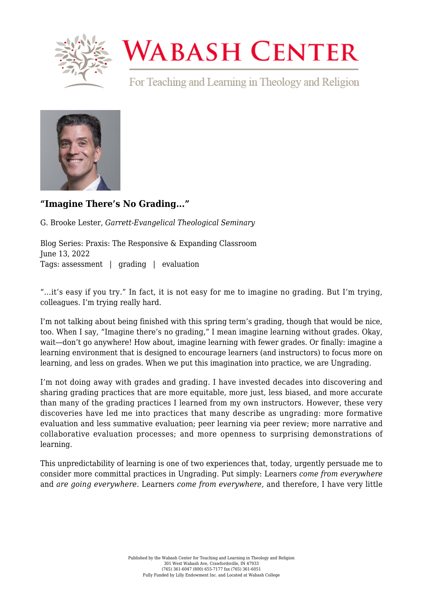

## **WABASH CENTER**

For Teaching and Learning in Theology and Religion



## **["Imagine There's No Grading..."](https://wabashcenter.wabash.edu/2022/06/imagine-theres-no-grading/)**

G. Brooke Lester, *Garrett-Evangelical Theological Seminary*

Blog Series: Praxis: The Responsive & Expanding Classroom June 13, 2022 Tags: assessment | grading | evaluation

"...it's easy if you try." In fact, it is not easy for me to imagine no grading. But I'm trying, colleagues. I'm trying really hard.

I'm not talking about being finished with this spring term's grading, though that would be nice, too. When I say, "Imagine there's no grading," I mean imagine learning without grades. Okay, wait—don't go anywhere! How about, imagine learning with fewer grades. Or finally: imagine a learning environment that is designed to encourage learners (and instructors) to focus more on learning, and less on grades. When we put this imagination into practice, we are Ungrading.

I'm not doing away with grades and grading. I have invested decades into discovering and sharing grading practices that are more equitable, more just, less biased, and more accurate than many of the grading practices I learned from my own instructors. However, these very discoveries have led me into practices that many describe as ungrading: more formative evaluation and less summative evaluation; peer learning via peer review; more narrative and collaborative evaluation processes; and more openness to surprising demonstrations of learning.

This unpredictability of learning is one of two experiences that, today, urgently persuade me to consider more committal practices in Ungrading. Put simply: Learners *come from everywhere* and *are going everywhere.* Learners *come from everywhere,* and therefore, I have very little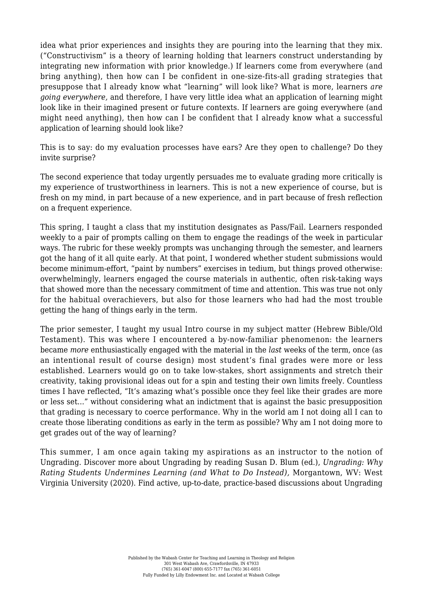idea what prior experiences and insights they are pouring into the learning that they mix. ("Constructivism" is a theory of learning holding that learners construct understanding by integrating new information with prior knowledge.) If learners come from everywhere (and bring anything), then how can I be confident in one-size-fits-all grading strategies that presuppose that I already know what "learning" will look like? What is more, learners *are going everywhere,* and therefore, I have very little idea what an application of learning might look like in their imagined present or future contexts. If learners are going everywhere (and might need anything), then how can I be confident that I already know what a successful application of learning should look like?

This is to say: do my evaluation processes have ears? Are they open to challenge? Do they invite surprise?

The second experience that today urgently persuades me to evaluate grading more critically is my experience of trustworthiness in learners. This is not a new experience of course, but is fresh on my mind, in part because of a new experience, and in part because of fresh reflection on a frequent experience.

This spring, I taught a class that my institution designates as Pass/Fail. Learners responded weekly to a pair of prompts calling on them to engage the readings of the week in particular ways. The rubric for these weekly prompts was unchanging through the semester, and learners got the hang of it all quite early. At that point, I wondered whether student submissions would become minimum-effort, "paint by numbers" exercises in tedium, but things proved otherwise: overwhelmingly, learners engaged the course materials in authentic, often risk-taking ways that showed more than the necessary commitment of time and attention. This was true not only for the habitual overachievers, but also for those learners who had had the most trouble getting the hang of things early in the term.

The prior semester, I taught my usual Intro course in my subject matter (Hebrew Bible/Old Testament). This was where I encountered a by-now-familiar phenomenon: the learners became *more* enthusiastically engaged with the material in the *last* weeks of the term, once (as an intentional result of course design) most student's final grades were more or less established. Learners would go on to take low-stakes, short assignments and stretch their creativity, taking provisional ideas out for a spin and testing their own limits freely. Countless times I have reflected, "It's amazing what's possible once they feel like their grades are more or less set..." without considering what an indictment that is against the basic presupposition that grading is necessary to coerce performance. Why in the world am I not doing all I can to create those liberating conditions as early in the term as possible? Why am I not doing more to get grades out of the way of learning?

This summer, I am once again taking my aspirations as an instructor to the notion of Ungrading. Discover more about Ungrading by reading Susan D. Blum (ed.), *[Ungrading: Why](https://wvupressonline.com/ungrading) [Rating Students Undermines Learning \(and What to Do Instead\)](https://wvupressonline.com/ungrading),* Morgantown, WV: West Virginia University (2020). Find active, up-to-date, practice-based discussions about Ungrading